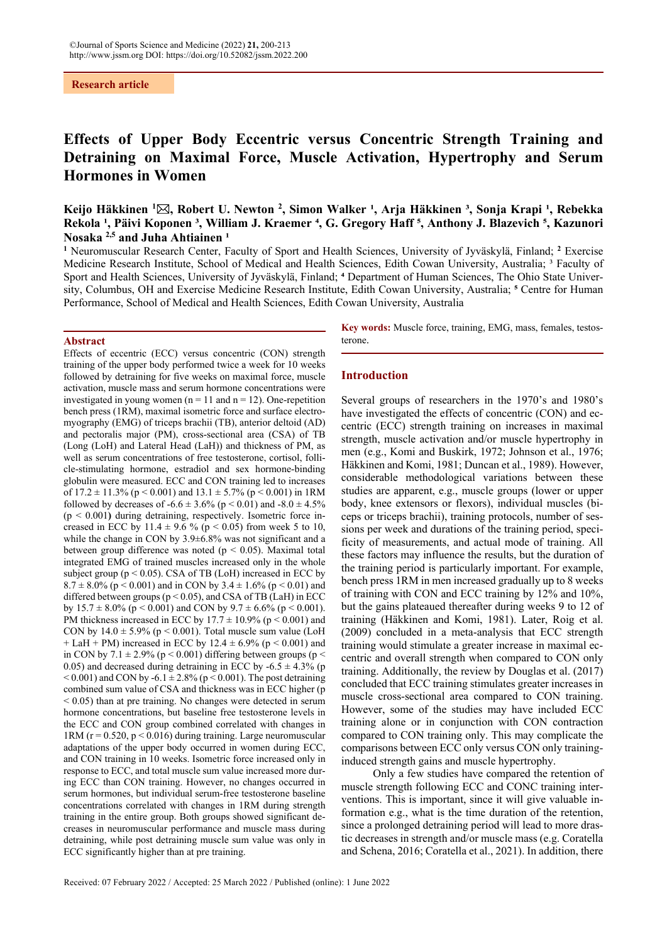# **Research article**

# **Effects of Upper Body Eccentric versus Concentric Strength Training and Detraining on Maximal Force, Muscle Activation, Hypertrophy and Serum Hormones in Women**

Keijo Häkkinen <sup>1</sup>⊠, Robert U. Newton <sup>2</sup>, Simon Walker <sup>1</sup>, Arja Häkkinen <sup>3</sup>, Sonja Krapi <sup>1</sup>, Rebekka Rekola <sup>1</sup>, Päivi Koponen <sup>3</sup>, William J. Kraemer <sup>4</sup>, G. Gregory Haff <sup>5</sup>, Anthony J. Blazevich <sup>5</sup>, Kazunori Nosaka<sup>2,5</sup> and Juha Ahtiainen<sup>1</sup>

**1** Neuromuscular Research Center, Faculty of Sport and Health Sciences, University of Jyväskylä, Finland; **<sup>2</sup>** Exercise Medicine Research Institute, School of Medical and Health Sciences, Edith Cowan University, Australia; <sup>3</sup> Faculty of Sport and Health Sciences, University of Jyväskylä, Finland; <sup>4</sup> Department of Human Sciences, The Ohio State University, Columbus, OH and Exercise Medicine Research Institute, Edith Cowan University, Australia; <sup>5</sup> Centre for Human Performance, School of Medical and Health Sciences, Edith Cowan University, Australia

#### **Abstract**

Effects of eccentric (ECC) versus concentric (CON) strength training of the upper body performed twice a week for 10 weeks followed by detraining for five weeks on maximal force, muscle activation, muscle mass and serum hormone concentrations were investigated in young women ( $n = 11$  and  $n = 12$ ). One-repetition bench press (1RM), maximal isometric force and surface electromyography (EMG) of triceps brachii (TB), anterior deltoid (AD) and pectoralis major (PM), cross-sectional area (CSA) of TB (Long (LoH) and Lateral Head (LaH)) and thickness of PM, as well as serum concentrations of free testosterone, cortisol, follicle-stimulating hormone, estradiol and sex hormone-binding globulin were measured. ECC and CON training led to increases of  $17.2 \pm 11.3\%$  (p < 0.001) and  $13.1 \pm 5.7\%$  (p < 0.001) in 1RM followed by decreases of -6.6  $\pm$  3.6% (p < 0.01) and -8.0  $\pm$  4.5% (p < 0.001**)** during detraining, respectively. Isometric force increased in ECC by 11.4  $\pm$  9.6 % (p < 0.05) from week 5 to 10, while the change in CON by 3.9±6.8% was not significant and a between group difference was noted ( $p < 0.05$ ). Maximal total integrated EMG of trained muscles increased only in the whole subject group ( $p < 0.05$ ). CSA of TB (LoH) increased in ECC by  $8.7 \pm 8.0\%$  (p < 0.001) and in CON by  $3.4 \pm 1.6\%$  (p < 0.01) and differed between groups ( $p < 0.05$ ), and CSA of TB (LaH) in ECC by  $15.7 \pm 8.0\%$  (p < 0.001) and CON by  $9.7 \pm 6.6\%$  (p < 0.001). PM thickness increased in ECC by  $17.7 \pm 10.9\%$  (p < 0.001) and CON by  $14.0 \pm 5.9\%$  (p < 0.001). Total muscle sum value (LoH + LaH + PM) increased in ECC by  $12.4 \pm 6.9\%$  (p < 0.001) and in CON by 7.1  $\pm$  2.9% (p < 0.001) differing between groups (p < 0.05) and decreased during detraining in ECC by  $-6.5 \pm 4.3\%$  (p  $< 0.001$ ) and CON by -6.1  $\pm 2.8\%$  (p  $< 0.001$ ). The post detraining combined sum value of CSA and thickness was in ECC higher (p  $< 0.05$ ) than at pre training. No changes were detected in serum hormone concentrations, but baseline free testosterone levels in the ECC and CON group combined correlated with changes in 1RM ( $r = 0.520$ ,  $p < 0.016$ ) during training. Large neuromuscular adaptations of the upper body occurred in women during ECC, and CON training in 10 weeks. Isometric force increased only in response to ECC, and total muscle sum value increased more during ECC than CON training. However, no changes occurred in serum hormones, but individual serum-free testosterone baseline concentrations correlated with changes in 1RM during strength training in the entire group. Both groups showed significant decreases in neuromuscular performance and muscle mass during detraining, while post detraining muscle sum value was only in ECC significantly higher than at pre training.

**Key words:** Muscle force, training, EMG, mass, females, testosterone.

#### **Introduction**

Several groups of researchers in the 1970's and 1980's have investigated the effects of concentric (CON) and eccentric (ECC) strength training on increases in maximal strength, muscle activation and/or muscle hypertrophy in men (e.g., Komi and Buskirk, 1972; Johnson et al., 1976; Häkkinen and Komi, 1981; Duncan et al., 1989). However, considerable methodological variations between these studies are apparent, e.g., muscle groups (lower or upper body, knee extensors or flexors), individual muscles (biceps or triceps brachii), training protocols, number of sessions per week and durations of the training period, specificity of measurements, and actual mode of training. All these factors may influence the results, but the duration of the training period is particularly important. For example, bench press 1RM in men increased gradually up to 8 weeks of training with CON and ECC training by 12% and 10%, but the gains plateaued thereafter during weeks 9 to 12 of training (Häkkinen and Komi, 1981). Later, Roig et al. (2009) concluded in a meta-analysis that ECC strength training would stimulate a greater increase in maximal eccentric and overall strength when compared to CON only training. Additionally, the review by Douglas et al. (2017) concluded that ECC training stimulates greater increases in muscle cross-sectional area compared to CON training. However, some of the studies may have included ECC training alone or in conjunction with CON contraction compared to CON training only. This may complicate the comparisons between ECC only versus CON only traininginduced strength gains and muscle hypertrophy.

Only a few studies have compared the retention of muscle strength following ECC and CONC training interventions. This is important, since it will give valuable information e.g., what is the time duration of the retention, since a prolonged detraining period will lead to more drastic decreases in strength and/or muscle mass (e.g. Coratella and Schena, 2016; Coratella et al., 2021). In addition, there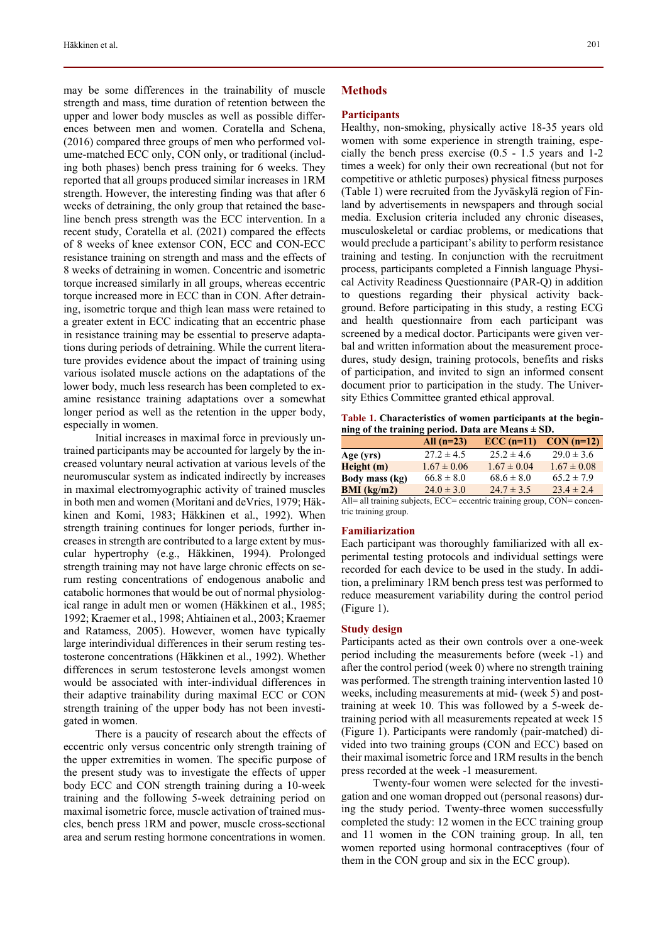may be some differences in the trainability of muscle strength and mass, time duration of retention between the upper and lower body muscles as well as possible differences between men and women. Coratella and Schena, (2016) compared three groups of men who performed volume-matched ECC only, CON only, or traditional (including both phases) bench press training for 6 weeks. They reported that all groups produced similar increases in 1RM strength. However, the interesting finding was that after 6 weeks of detraining, the only group that retained the baseline bench press strength was the ECC intervention. In a recent study, Coratella et al. (2021) compared the effects of 8 weeks of knee extensor CON, ECC and CON-ECC resistance training on strength and mass and the effects of 8 weeks of detraining in women. Concentric and isometric torque increased similarly in all groups, whereas eccentric torque increased more in ECC than in CON. After detraining, isometric torque and thigh lean mass were retained to a greater extent in ECC indicating that an eccentric phase in resistance training may be essential to preserve adaptations during periods of detraining. While the current literature provides evidence about the impact of training using various isolated muscle actions on the adaptations of the lower body, much less research has been completed to examine resistance training adaptations over a somewhat longer period as well as the retention in the upper body, especially in women.

Initial increases in maximal force in previously untrained participants may be accounted for largely by the increased voluntary neural activation at various levels of the neuromuscular system as indicated indirectly by increases in maximal electromyographic activity of trained muscles in both men and women (Moritani and deVries, 1979; Häkkinen and Komi, 1983; Häkkinen et al., 1992). When strength training continues for longer periods, further increases in strength are contributed to a large extent by muscular hypertrophy (e.g., Häkkinen, 1994). Prolonged strength training may not have large chronic effects on serum resting concentrations of endogenous anabolic and catabolic hormones that would be out of normal physiological range in adult men or women (Häkkinen et al., 1985; 1992; Kraemer et al., 1998; Ahtiainen et al., 2003; Kraemer and Ratamess, 2005). However, women have typically large interindividual differences in their serum resting testosterone concentrations (Häkkinen et al., 1992). Whether differences in serum testosterone levels amongst women would be associated with inter-individual differences in their adaptive trainability during maximal ECC or CON strength training of the upper body has not been investigated in women.

There is a paucity of research about the effects of eccentric only versus concentric only strength training of the upper extremities in women. The specific purpose of the present study was to investigate the effects of upper body ECC and CON strength training during a 10-week training and the following 5-week detraining period on maximal isometric force, muscle activation of trained muscles, bench press 1RM and power, muscle cross-sectional area and serum resting hormone concentrations in women.

#### **Methods**

#### **Participants**

Healthy, non-smoking, physically active 18-35 years old women with some experience in strength training, especially the bench press exercise (0.5 - 1.5 years and 1-2 times a week) for only their own recreational (but not for competitive or athletic purposes) physical fitness purposes (Table 1) were recruited from the Jyväskylä region of Finland by advertisements in newspapers and through social media. Exclusion criteria included any chronic diseases, musculoskeletal or cardiac problems, or medications that would preclude a participant's ability to perform resistance training and testing. In conjunction with the recruitment process, participants completed a Finnish language Physical Activity Readiness Questionnaire (PAR-Q) in addition to questions regarding their physical activity background. Before participating in this study, a resting ECG and health questionnaire from each participant was screened by a medical doctor. Participants were given verbal and written information about the measurement procedures, study design, training protocols, benefits and risks of participation, and invited to sign an informed consent document prior to participation in the study. The University Ethics Committee granted ethical approval.

**Table 1. Characteristics of women participants at the beginning of the training period. Data are Means ± SD.** 

|                        | All $(n=23)$    | $\text{ECC}$ (n=11) | $CON(n=12)$     |
|------------------------|-----------------|---------------------|-----------------|
| Age (yrs)              | $27.2 \pm 4.5$  | $25.2 \pm 4.6$      | $29.0 \pm 3.6$  |
| Height(m)              | $1.67 \pm 0.06$ | $1.67 \pm 0.04$     | $1.67 \pm 0.08$ |
| Body mass (kg)         | $66.8 \pm 8.0$  | $68.6 \pm 8.0$      | $65.2 \pm 7.9$  |
| <b>BMI</b> ( $kg/m2$ ) | $24.0 \pm 3.0$  | $24.7 \pm 3.5$      | $23.4 \pm 2.4$  |
|                        |                 |                     |                 |

All= all training subjects, ECC= eccentric training group, CON= concentric training group.

# **Familiarization**

Each participant was thoroughly familiarized with all experimental testing protocols and individual settings were recorded for each device to be used in the study. In addition, a preliminary 1RM bench press test was performed to reduce measurement variability during the control period (Figure 1).

#### **Study design**

Participants acted as their own controls over a one-week period including the measurements before (week -1) and after the control period (week 0) where no strength training was performed. The strength training intervention lasted 10 weeks, including measurements at mid- (week 5) and posttraining at week 10. This was followed by a 5-week detraining period with all measurements repeated at week 15 (Figure 1). Participants were randomly (pair-matched) divided into two training groups (CON and ECC) based on their maximal isometric force and 1RM results in the bench press recorded at the week -1 measurement.

Twenty-four women were selected for the investigation and one woman dropped out (personal reasons) during the study period. Twenty-three women successfully completed the study: 12 women in the ECC training group and 11 women in the CON training group. In all, ten women reported using hormonal contraceptives (four of them in the CON group and six in the ECC group).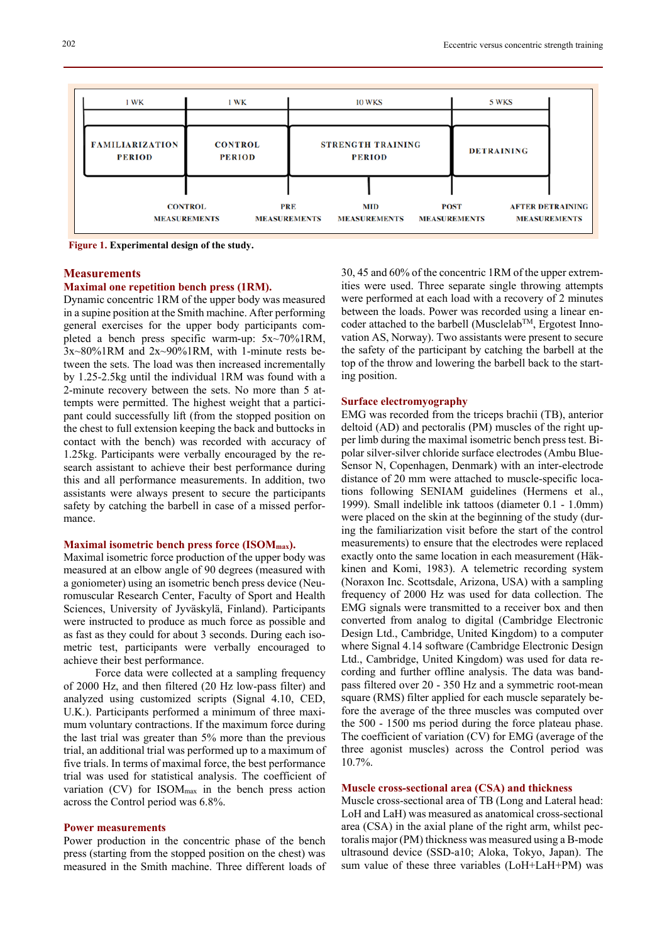

 **Figure 1. Experimental design of the study.** 

# **Measurements**

# **Maximal one repetition bench press (1RM).**

Dynamic concentric 1RM of the upper body was measured in a supine position at the Smith machine. After performing general exercises for the upper body participants completed a bench press specific warm-up: 5x~70%1RM, 3x~80%1RM and 2x~90%1RM, with 1-minute rests between the sets. The load was then increased incrementally by 1.25-2.5kg until the individual 1RM was found with a 2-minute recovery between the sets. No more than 5 attempts were permitted. The highest weight that a participant could successfully lift (from the stopped position on the chest to full extension keeping the back and buttocks in contact with the bench) was recorded with accuracy of 1.25kg. Participants were verbally encouraged by the research assistant to achieve their best performance during this and all performance measurements. In addition, two assistants were always present to secure the participants safety by catching the barbell in case of a missed performance.

# **Maximal isometric bench press force (ISOMmax).**

Maximal isometric force production of the upper body was measured at an elbow angle of 90 degrees (measured with a goniometer) using an isometric bench press device (Neuromuscular Research Center, Faculty of Sport and Health Sciences, University of Jyväskylä, Finland). Participants were instructed to produce as much force as possible and as fast as they could for about 3 seconds. During each isometric test, participants were verbally encouraged to achieve their best performance.

Force data were collected at a sampling frequency of 2000 Hz, and then filtered (20 Hz low-pass filter) and analyzed using customized scripts (Signal 4.10, CED, U.K.). Participants performed a minimum of three maximum voluntary contractions. If the maximum force during the last trial was greater than 5% more than the previous trial, an additional trial was performed up to a maximum of five trials. In terms of maximal force, the best performance trial was used for statistical analysis. The coefficient of variation (CV) for ISOM<sub>max</sub> in the bench press action across the Control period was 6.8%.

# **Power measurements**

Power production in the concentric phase of the bench press (starting from the stopped position on the chest) was measured in the Smith machine. Three different loads of

30, 45 and 60% of the concentric 1RM of the upper extremities were used. Three separate single throwing attempts were performed at each load with a recovery of 2 minutes between the loads. Power was recorded using a linear encoder attached to the barbell (Musclelab<sup>TM</sup>, Ergotest Innovation AS, Norway). Two assistants were present to secure the safety of the participant by catching the barbell at the top of the throw and lowering the barbell back to the starting position.

#### **Surface electromyography**

EMG was recorded from the triceps brachii (TB), anterior deltoid (AD) and pectoralis (PM) muscles of the right upper limb during the maximal isometric bench press test. Bipolar silver-silver chloride surface electrodes (Ambu Blue-Sensor N, Copenhagen, Denmark) with an inter-electrode distance of 20 mm were attached to muscle-specific locations following SENIAM guidelines (Hermens et al., 1999). Small indelible ink tattoos (diameter 0.1 - 1.0mm) were placed on the skin at the beginning of the study (during the familiarization visit before the start of the control measurements) to ensure that the electrodes were replaced exactly onto the same location in each measurement (Häkkinen and Komi, 1983). A telemetric recording system (Noraxon Inc. Scottsdale, Arizona, USA) with a sampling frequency of 2000 Hz was used for data collection. The EMG signals were transmitted to a receiver box and then converted from analog to digital (Cambridge Electronic Design Ltd., Cambridge, United Kingdom) to a computer where Signal 4.14 software (Cambridge Electronic Design Ltd., Cambridge, United Kingdom) was used for data recording and further offline analysis. The data was bandpass filtered over 20 - 350 Hz and a symmetric root-mean square (RMS) filter applied for each muscle separately before the average of the three muscles was computed over the 500 - 1500 ms period during the force plateau phase. The coefficient of variation (CV) for EMG (average of the three agonist muscles) across the Control period was 10.7%.

# **Muscle cross-sectional area (CSA) and thickness**

Muscle cross-sectional area of TB (Long and Lateral head: LoH and LaH) was measured as anatomical cross-sectional area (CSA) in the axial plane of the right arm, whilst pectoralis major (PM) thickness was measured using a B-mode ultrasound device (SSD-a10; Aloka, Tokyo, Japan). The sum value of these three variables (LoH+LaH+PM) was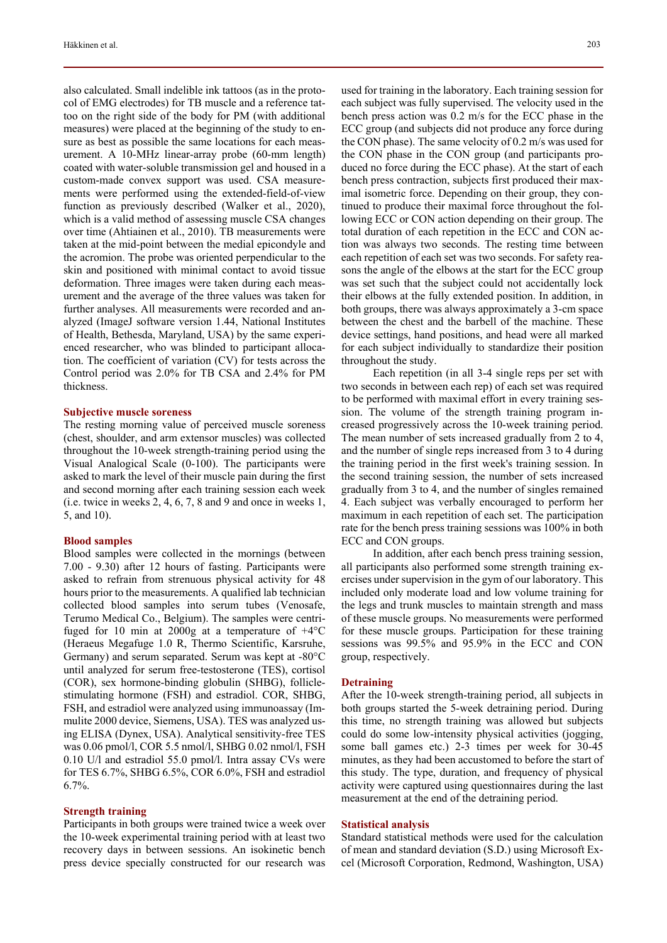also calculated. Small indelible ink tattoos (as in the protocol of EMG electrodes) for TB muscle and a reference tattoo on the right side of the body for PM (with additional measures) were placed at the beginning of the study to ensure as best as possible the same locations for each measurement. A 10-MHz linear-array probe (60-mm length) coated with water-soluble transmission gel and housed in a custom-made convex support was used. CSA measurements were performed using the extended-field-of-view function as previously described (Walker et al., 2020), which is a valid method of assessing muscle CSA changes over time (Ahtiainen et al., 2010). TB measurements were taken at the mid-point between the medial epicondyle and the acromion. The probe was oriented perpendicular to the skin and positioned with minimal contact to avoid tissue deformation. Three images were taken during each measurement and the average of the three values was taken for further analyses. All measurements were recorded and analyzed (ImageJ software version 1.44, National Institutes of Health, Bethesda, Maryland, USA) by the same experienced researcher, who was blinded to participant allocation. The coefficient of variation (CV) for tests across the Control period was 2.0% for TB CSA and 2.4% for PM thickness.

#### **Subjective muscle soreness**

The resting morning value of perceived muscle soreness (chest, shoulder, and arm extensor muscles) was collected throughout the 10-week strength-training period using the Visual Analogical Scale (0-100). The participants were asked to mark the level of their muscle pain during the first and second morning after each training session each week (i.e. twice in weeks 2, 4, 6, 7, 8 and 9 and once in weeks 1, 5, and 10).

#### **Blood samples**

Blood samples were collected in the mornings (between 7.00 - 9.30) after 12 hours of fasting. Participants were asked to refrain from strenuous physical activity for 48 hours prior to the measurements. A qualified lab technician collected blood samples into serum tubes (Venosafe, Terumo Medical Co., Belgium). The samples were centrifuged for 10 min at 2000g at a temperature of  $+4^{\circ}$ C (Heraeus Megafuge 1.0 R, Thermo Scientific, Karsruhe, Germany) and serum separated. Serum was kept at -80°C until analyzed for serum free-testosterone (TES), cortisol (COR), sex hormone-binding globulin (SHBG), folliclestimulating hormone (FSH) and estradiol. COR, SHBG, FSH, and estradiol were analyzed using immunoassay (Immulite 2000 device, Siemens, USA). TES was analyzed using ELISA (Dynex, USA). Analytical sensitivity-free TES was 0.06 pmol/l, COR 5.5 nmol/l, SHBG 0.02 nmol/l, FSH 0.10 U/l and estradiol 55.0 pmol/l. Intra assay CVs were for TES 6.7%, SHBG 6.5%, COR 6.0%, FSH and estradiol 6.7%.

# **Strength training**

Participants in both groups were trained twice a week over the 10-week experimental training period with at least two recovery days in between sessions. An isokinetic bench press device specially constructed for our research was used for training in the laboratory. Each training session for each subject was fully supervised. The velocity used in the bench press action was 0.2 m/s for the ECC phase in the ECC group (and subjects did not produce any force during the CON phase). The same velocity of 0.2 m/s was used for the CON phase in the CON group (and participants produced no force during the ECC phase). At the start of each bench press contraction, subjects first produced their maximal isometric force. Depending on their group, they continued to produce their maximal force throughout the following ECC or CON action depending on their group. The total duration of each repetition in the ECC and CON action was always two seconds. The resting time between each repetition of each set was two seconds. For safety reasons the angle of the elbows at the start for the ECC group was set such that the subject could not accidentally lock their elbows at the fully extended position. In addition, in both groups, there was always approximately a 3-cm space between the chest and the barbell of the machine. These device settings, hand positions, and head were all marked for each subject individually to standardize their position throughout the study.

Each repetition (in all 3-4 single reps per set with two seconds in between each rep) of each set was required to be performed with maximal effort in every training session. The volume of the strength training program increased progressively across the 10-week training period. The mean number of sets increased gradually from 2 to 4, and the number of single reps increased from 3 to 4 during the training period in the first week's training session. In the second training session, the number of sets increased gradually from 3 to 4, and the number of singles remained 4. Each subject was verbally encouraged to perform her maximum in each repetition of each set. The participation rate for the bench press training sessions was 100% in both ECC and CON groups.

In addition, after each bench press training session, all participants also performed some strength training exercises under supervision in the gym of our laboratory. This included only moderate load and low volume training for the legs and trunk muscles to maintain strength and mass of these muscle groups. No measurements were performed for these muscle groups. Participation for these training sessions was 99.5% and 95.9% in the ECC and CON group, respectively.

#### **Detraining**

After the 10-week strength-training period, all subjects in both groups started the 5-week detraining period. During this time, no strength training was allowed but subjects could do some low-intensity physical activities (jogging, some ball games etc.) 2-3 times per week for 30-45 minutes, as they had been accustomed to before the start of this study. The type, duration, and frequency of physical activity were captured using questionnaires during the last measurement at the end of the detraining period.

#### **Statistical analysis**

Standard statistical methods were used for the calculation of mean and standard deviation (S.D.) using Microsoft Excel (Microsoft Corporation, Redmond, Washington, USA)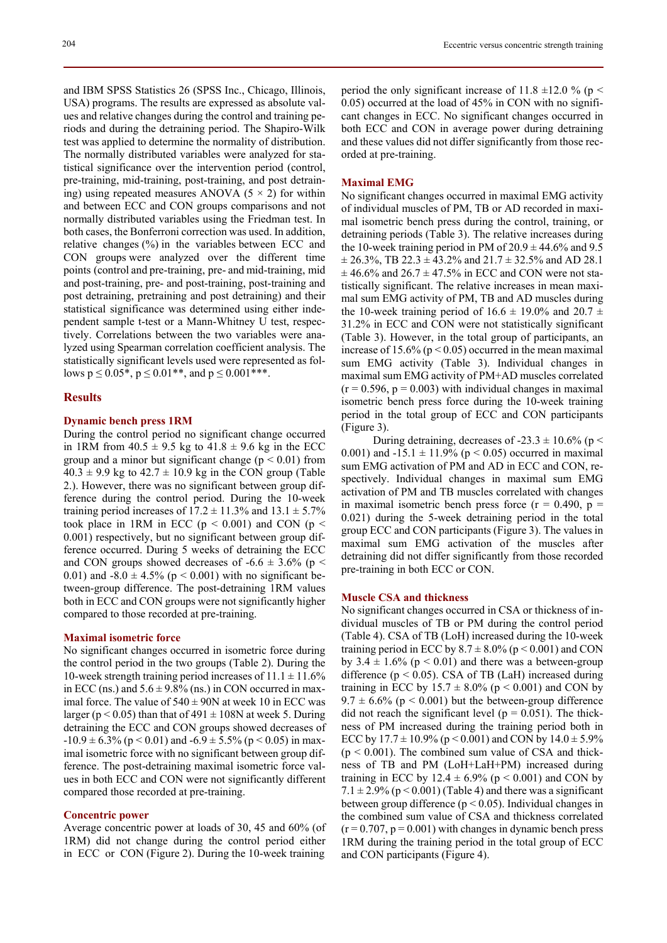and IBM SPSS Statistics 26 (SPSS Inc., Chicago, Illinois, USA) programs. The results are expressed as absolute values and relative changes during the control and training periods and during the detraining period. The Shapiro-Wilk test was applied to determine the normality of distribution. The normally distributed variables were analyzed for statistical significance over the intervention period (control, pre-training, mid-training, post-training, and post detraining) using repeated measures ANOVA  $(5 \times 2)$  for within and between ECC and CON groups comparisons and not normally distributed variables using the Friedman test. In both cases, the Bonferroni correction was used. In addition, relative changes  $(\%)$  in the variables between ECC and CON groups were analyzed over the different time points (control and pre-training, pre- and mid-training, mid and post-training, pre- and post-training, post-training and post detraining, pretraining and post detraining) and their statistical significance was determined using either independent sample t-test or a Mann-Whitney U test, respectively. Correlations between the two variables were analyzed using Spearman correlation coefficient analysis. The statistically significant levels used were represented as follows  $p \le 0.05^*$ ,  $p \le 0.01^{**}$ , and  $p \le 0.001^{***}$ .

# **Results**

## **Dynamic bench press 1RM**

During the control period no significant change occurred in 1RM from  $40.5 \pm 9.5$  kg to  $41.8 \pm 9.6$  kg in the ECC group and a minor but significant change ( $p < 0.01$ ) from  $40.3 \pm 9.9$  kg to  $42.7 \pm 10.9$  kg in the CON group (Table 2.). However, there was no significant between group difference during the control period. During the 10-week training period increases of  $17.2 \pm 11.3\%$  and  $13.1 \pm 5.7\%$ took place in 1RM in ECC ( $p < 0.001$ ) and CON ( $p <$ 0.001) respectively, but no significant between group difference occurred. During 5 weeks of detraining the ECC and CON groups showed decreases of  $-6.6 \pm 3.6\%$  (p < 0.01) and  $-8.0 \pm 4.5\%$  (p < 0.001) with no significant between-group difference. The post-detraining 1RM values both in ECC and CON groups were not significantly higher compared to those recorded at pre-training.

#### **Maximal isometric force**

No significant changes occurred in isometric force during the control period in the two groups (Table 2). During the 10-week strength training period increases of  $11.1 \pm 11.6\%$ in ECC (ns.) and  $5.6 \pm 9.8\%$  (ns.) in CON occurred in maximal force. The value of  $540 \pm 90N$  at week 10 in ECC was larger ( $p < 0.05$ ) than that of 491  $\pm$  108N at week 5. During detraining the ECC and CON groups showed decreases of  $-10.9 \pm 6.3\%$  (p < 0.01) and  $-6.9 \pm 5.5\%$  (p < 0.05) in maximal isometric force with no significant between group difference. The post-detraining maximal isometric force values in both ECC and CON were not significantly different compared those recorded at pre-training.

## **Concentric power**

Average concentric power at loads of 30, 45 and 60% (of 1RM) did not change during the control period either in ECC or CON (Figure 2). During the 10-week training period the only significant increase of 11.8  $\pm$ 12.0 % (p < 0.05) occurred at the load of 45% in CON with no significant changes in ECC. No significant changes occurred in both ECC and CON in average power during detraining and these values did not differ significantly from those recorded at pre-training.

#### **Maximal EMG**

No significant changes occurred in maximal EMG activity of individual muscles of PM, TB or AD recorded in maximal isometric bench press during the control, training, or detraining periods (Table 3). The relative increases during the 10-week training period in PM of  $20.9 \pm 44.6\%$  and 9.5  $\pm$  26.3%, TB 22.3  $\pm$  43.2% and 21.7  $\pm$  32.5% and AD 28.1  $\pm$  46.6% and 26.7  $\pm$  47.5% in ECC and CON were not statistically significant. The relative increases in mean maximal sum EMG activity of PM, TB and AD muscles during the 10-week training period of  $16.6 \pm 19.0\%$  and  $20.7 \pm$ 31.2% in ECC and CON were not statistically significant (Table 3). However, in the total group of participants, an increase of 15.6% ( $p < 0.05$ ) occurred in the mean maximal sum EMG activity (Table 3). Individual changes in maximal sum EMG activity of PM+AD muscles correlated  $(r = 0.596, p = 0.003)$  with individual changes in maximal isometric bench press force during the 10-week training period in the total group of ECC and CON participants (Figure 3).

During detraining, decreases of -23.3  $\pm$  10.6% (p < 0.001) and -15.1  $\pm$  11.9% (p < 0.05) occurred in maximal sum EMG activation of PM and AD in ECC and CON, respectively. Individual changes in maximal sum EMG activation of PM and TB muscles correlated with changes in maximal isometric bench press force ( $r = 0.490$ ,  $p =$ 0.021) during the 5-week detraining period in the total group ECC and CON participants (Figure 3). The values in maximal sum EMG activation of the muscles after detraining did not differ significantly from those recorded pre-training in both ECC or CON.

# **Muscle CSA and thickness**

No significant changes occurred in CSA or thickness of individual muscles of TB or PM during the control period (Table 4). CSA of TB (LoH) increased during the 10-week training period in ECC by  $8.7 \pm 8.0\%$  (p < 0.001) and CON by  $3.4 \pm 1.6\%$  (p < 0.01) and there was a between-group difference ( $p < 0.05$ ). CSA of TB (LaH) increased during training in ECC by  $15.7 \pm 8.0\%$  (p < 0.001) and CON by  $9.7 \pm 6.6\%$  (p < 0.001) but the between-group difference did not reach the significant level ( $p = 0.051$ ). The thickness of PM increased during the training period both in ECC by  $17.7 \pm 10.9\%$  (p < 0.001) and CON by  $14.0 \pm 5.9\%$  $(p < 0.001)$ . The combined sum value of CSA and thickness of TB and PM (LoH+LaH+PM) increased during training in ECC by  $12.4 \pm 6.9\%$  (p < 0.001) and CON by  $7.1 \pm 2.9\%$  (p < 0.001) (Table 4) and there was a significant between group difference ( $p < 0.05$ ). Individual changes in the combined sum value of CSA and thickness correlated  $(r = 0.707, p = 0.001)$  with changes in dynamic bench press 1RM during the training period in the total group of ECC and CON participants (Figure 4).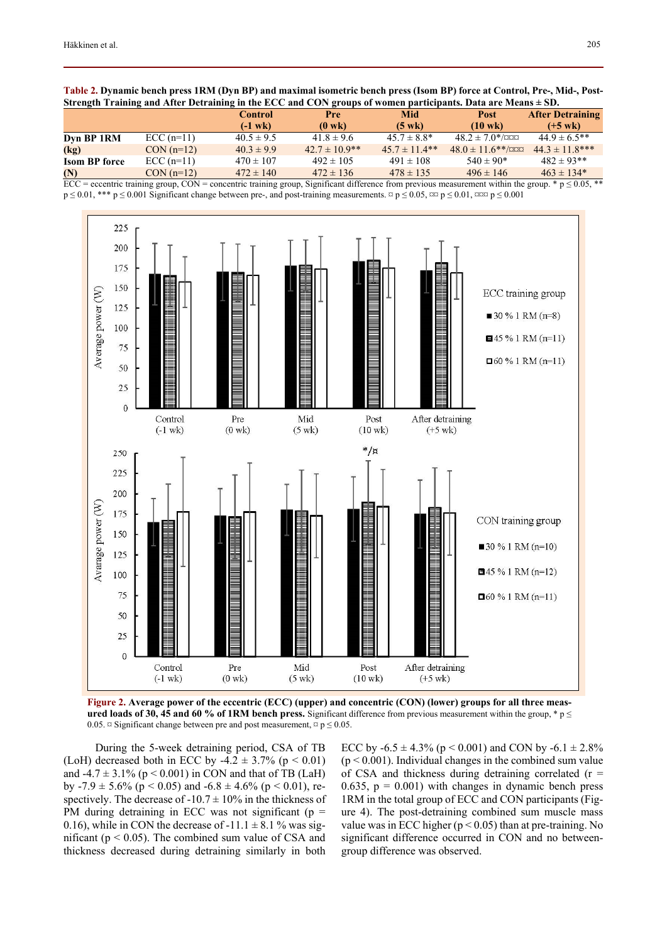| Strength Training and After Detraining in the ECC and CON groups of women participants. Data are Means $\pm$ SD. |             |                |                    |                   |                         |                         |  |
|------------------------------------------------------------------------------------------------------------------|-------------|----------------|--------------------|-------------------|-------------------------|-------------------------|--|
|                                                                                                                  |             | <b>Control</b> | <b>Pre</b>         | Mid               | <b>Post</b>             | <b>After Detraining</b> |  |
|                                                                                                                  |             | $(-1$ wk $)$   | $(0 \text{ wk})$   | $(5 \text{ wk})$  | $(10 \text{ wk})$       | $(+5 \text{ wk})$       |  |
| Dyn BP 1RM                                                                                                       | $ECC(n=11)$ | $40.5 \pm 9.5$ | $41.8 \pm 9.6$     | $45.7 \pm 8.8^*$  | $48.2 \pm 7.0^{*}/$ ¤¤¤ | $44.9 \pm 6.5$ **       |  |
| (kg)                                                                                                             | $CON(n=12)$ | $40.3 \pm 9.9$ | $42.7 \pm 10.9$ ** | $45.7 \pm 11.4**$ | $48.0 \pm 11.6$ **/000  | $44.3 \pm 11.8$ ***     |  |

|            |             | Control        | Pre               | Mid                  | Post                                  | <b>After Detraining</b> |
|------------|-------------|----------------|-------------------|----------------------|---------------------------------------|-------------------------|
|            |             | $(-1$ wk $)$   | $(0 \text{ wk})$  | (5 wk)               | 10 wk)                                | $(+5$ wk)               |
| Dyn BP 1RM | $ECC(n=11)$ | $40.5 \pm 9.5$ | $41.8 \pm 9.6$    | $45.7 \pm 8.8^*$     | $48.2 \pm 7.0$ */¤¤¤                  | $44.9 \pm 6.5$ **       |
| (1)        | $CONL(=12)$ | 102100         | $107 + 100$ $x$ * | $AE$ $7$ + 11 $A$ ** | $10.0 + 11$ (** know $11.2 + 11.0$ ** |                         |

**Table 2. Dynamic bench press 1RM (Dyn BP) and maximal isometric bench press (Isom BP) force at Control, Pre-, Mid-, Post-**

**Isom BP force**  $\text{ECC (n=11)}$   $470 \pm 107$   $492 \pm 105$   $491 \pm 108$   $540 \pm 90^*$   $482 \pm 93^{**}$ **(N)**  $\text{CON (n=12)}$   $472 \pm 140$   $472 \pm 136$   $478 \pm 135$   $496 \pm 146$   $463 \pm 134$ <sup>\*</sup> <u>ECC</u> = eccentric training group, CON = concentric training group, Significant difference from previous measurement within the group. \* p  $\leq 0.05$ , \*\*

 $p \le 0.01$ , \*\*\*  $p \le 0.001$  Significant change between pre-, and post-training measurements.  $\alpha p \le 0.05$ ,  $\alpha \alpha p \le 0.01$ ,  $\alpha \alpha p \le 0.001$ 



**Figure 2. Average power of the eccentric (ECC) (upper) and concentric (CON) (lower) groups for all three measured loads of 30, 45 and 60 % of 1RM bench press.** Significant difference from previous measurement within the group, \*  $p \leq$ 0.05.  $\alpha$  Significant change between pre and post measurement,  $\alpha$  p  $\leq$  0.05.

During the 5-week detraining period, CSA of TB (LoH) decreased both in ECC by -4.2  $\pm$  3.7% (p < 0.01) and -4.7  $\pm$  3.1% (p < 0.001) in CON and that of TB (LaH) by -7.9  $\pm$  5.6% (p < 0.05) and -6.8  $\pm$  4.6% (p < 0.01), respectively. The decrease of  $-10.7 \pm 10\%$  in the thickness of PM during detraining in ECC was not significant ( $p =$ 0.16), while in CON the decrease of  $-11.1 \pm 8.1$  % was significant ( $p < 0.05$ ). The combined sum value of CSA and thickness decreased during detraining similarly in both

ECC by  $-6.5 \pm 4.3\%$  (p < 0.001) and CON by  $-6.1 \pm 2.8\%$  $(p < 0.001)$ . Individual changes in the combined sum value of CSA and thickness during detraining correlated  $(r =$ 0.635,  $p = 0.001$ ) with changes in dynamic bench press 1RM in the total group of ECC and CON participants (Figure 4). The post-detraining combined sum muscle mass value was in ECC higher  $(p < 0.05)$  than at pre-training. No significant difference occurred in CON and no betweengroup difference was observed.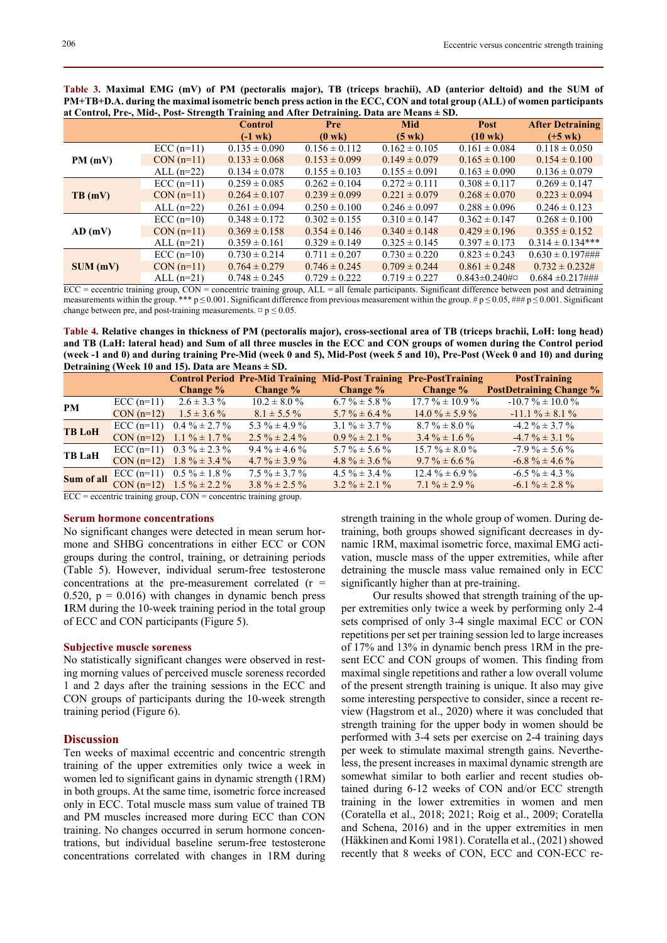| at Control, Pre-, Mid-, Post-Strength Training and After Detraining. Data are Means $\pm$ SD. |              |                   |                   |                   |                   |                         |  |
|-----------------------------------------------------------------------------------------------|--------------|-------------------|-------------------|-------------------|-------------------|-------------------------|--|
|                                                                                               |              | <b>Control</b>    | Pre               | <b>Mid</b>        | Post              | <b>After Detraining</b> |  |
|                                                                                               |              | $(-1$ wk $)$      | $(0 \text{ wk})$  | $(5 \text{ wk})$  | $(10 \text{ wk})$ | $(+5 \text{ wk})$       |  |
|                                                                                               | $ECC(n=11)$  | $0.135 \pm 0.090$ | $0.156 \pm 0.112$ | $0.162 \pm 0.105$ | $0.161 \pm 0.084$ | $0.118 \pm 0.050$       |  |
| PM(mV)                                                                                        | $CON(n=11)$  | $0.133 \pm 0.068$ | $0.153 \pm 0.099$ | $0.149 \pm 0.079$ | $0.165 \pm 0.100$ | $0.154 \pm 0.100$       |  |
|                                                                                               | ALL $(n=22)$ | $0.134 \pm 0.078$ | $0.155 \pm 0.103$ | $0.155 \pm 0.091$ | $0.163 \pm 0.090$ | $0.136 \pm 0.079$       |  |
|                                                                                               | $ECC(n=11)$  | $0.259 \pm 0.085$ | $0.262 \pm 0.104$ | $0.272 \pm 0.111$ | $0.308 \pm 0.117$ | $0.269 \pm 0.147$       |  |
| TB(mV)                                                                                        | $CON(n=11)$  | $0.264 \pm 0.107$ | $0.239 \pm 0.099$ | $0.221 \pm 0.079$ | $0.268 \pm 0.070$ | $0.223 \pm 0.094$       |  |
|                                                                                               | ALL $(n=22)$ | $0.261 \pm 0.094$ | $0.250 \pm 0.100$ | $0.246 \pm 0.097$ | $0.288 \pm 0.096$ | $0.246 \pm 0.123$       |  |
|                                                                                               | $ECC(n=10)$  | $0.348 \pm 0.172$ | $0.302 \pm 0.155$ | $0.310 \pm 0.147$ | $0.362 \pm 0.147$ | $0.268 \pm 0.100$       |  |
| $AD$ (mV)                                                                                     | $CON(n=11)$  | $0.369 \pm 0.158$ | $0.354 \pm 0.146$ | $0.340 \pm 0.148$ | $0.429 \pm 0.196$ | $0.355 \pm 0.152$       |  |
|                                                                                               | ALL $(n=21)$ | $0.359 \pm 0.161$ | $0.329 \pm 0.149$ | $0.325 \pm 0.145$ | $0.397 \pm 0.173$ | $0.314 \pm 0.134***$    |  |
|                                                                                               | $ECC(n=10)$  | $0.730 \pm 0.214$ | $0.711 \pm 0.207$ | $0.730 \pm 0.220$ | $0.823 \pm 0.243$ | $0.630 \pm 0.197$ ###   |  |

**Table 3. Maximal EMG (mV) of PM (pectoralis major), TB (triceps brachii), AD (anterior deltoid) and the SUM of PM+TB+D.A. during the maximal isometric bench press action in the ECC, CON and total group (ALL) of women participants** 

 $\overline{ECC}$  = eccentric training group,  $\overline{CON}$  = concentric training group,  $\overline{ALL}$  = all female participants. Significant difference between post and detraining measurements within the group. \*\*\*  $p \le 0.001$ . Significant difference from previous measurement within the group. #  $p \le 0.05$ , ###  $p \le 0.001$ . Significant change between pre, and post-training measurements.  $\alpha$  p  $\leq$  0.05.

CON  $(n=1)$  0.764  $\pm$  0.279 0.746  $\pm$  0.245 0.709  $\pm$  0.244 0.861  $\pm$  0.248 0.732  $\pm$  0.232# ALL  $(n=21)$  0.748  $\pm$  0.245 0.729  $\pm$  0.222 0.719  $\pm$  0.227 0.843 $\pm$ 0.240#¤ 0.684  $\pm$ 0.217###

**Table 4. Relative changes in thickness of PM (pectoralis major), cross-sectional area of TB (triceps brachii, LoH: long head) and TB (LaH: lateral head) and Sum of all three muscles in the ECC and CON groups of women during the Control period (week -1 and 0) and during training Pre-Mid (week 0 and 5), Mid-Post (week 5 and 10), Pre-Post (Week 0 and 10) and during Detraining (Week 10 and 15). Data are Means ± SD.** 

|               |             | <b>Control Period Pre-Mid Training Mid-Post Training Pre-PostTraining</b> |                   |                   |                     | <b>PostTraining</b>            |
|---------------|-------------|---------------------------------------------------------------------------|-------------------|-------------------|---------------------|--------------------------------|
|               |             | Change %                                                                  | <b>Change</b> %   | Change %          | Change %            | <b>PostDetraining Change %</b> |
| <b>PM</b>     | $ECC(n=11)$ | $2.6 \pm 3.3\%$                                                           | $10.2 \pm 8.0 \%$ | $6.7\% \pm 5.8\%$ | $17.7\% \pm 10.9\%$ | $-10.7\% \pm 10.0\%$           |
|               | $CON(n=12)$ | $1.5 \pm 3.6\%$                                                           | $8.1 \pm 5.5\%$   | $5.7\% \pm 6.4\%$ | $14.0\% \pm 5.9\%$  | $-11.1\% \pm 8.1\%$            |
| <b>TB LoH</b> |             | ECC (n=11) $0.4\% \pm 2.7\%$                                              | 5.3 % $\pm$ 4.9 % | $3.1\% \pm 3.7\%$ | $8.7\% \pm 8.0\%$   | $-4.2\% \pm 3.7\%$             |
|               |             | CON $(n=12)$ 1.1 % $\pm$ 1.7 %                                            | $2.5\% \pm 2.4\%$ | $0.9\% \pm 2.1\%$ | $3.4\% \pm 1.6\%$   | $-4.7\% \pm 3.1\%$             |
| <b>TB LaH</b> |             | ECC (n=11) $0.3\% \pm 2.3\%$                                              | $9.4\% \pm 4.6\%$ | $5.7\% \pm 5.6\%$ | $15.7\% \pm 8.0\%$  | $-7.9\% \pm 5.6\%$             |
|               |             | CON $(n=12)$ 1.8 % $\pm$ 3.4 %                                            | $4.7\% \pm 3.9\%$ | $4.8\% \pm 3.6\%$ | $9.7\% \pm 6.6\%$   | $-6.8\% \pm 4.6\%$             |
| Sum of all    | $ECC(n=11)$ | $0.5\% \pm 1.8\%$                                                         | $7.5\% \pm 3.7\%$ | $4.5\% \pm 3.4\%$ | $12.4\% \pm 6.9\%$  | $-6.5\% \pm 4.3\%$             |
|               |             | CON $(n=12)$ 1.5 % $\pm$ 2.2 %                                            | $3.8\% \pm 2.5\%$ | $3.2\% \pm 2.1\%$ | $7.1\% \pm 2.9\%$   | $-6.1\% \pm 2.8\%$             |

ECC = eccentric training group, CON = concentric training group.

#### **Serum hormone concentrations**

No significant changes were detected in mean serum hormone and SHBG concentrations in either ECC or CON groups during the control, training, or detraining periods (Table 5). However, individual serum-free testosterone concentrations at the pre-measurement correlated  $(r =$ 0.520,  $p = 0.016$ ) with changes in dynamic bench press **1**RM during the 10-week training period in the total group of ECC and CON participants (Figure 5).

#### **Subjective muscle soreness**

No statistically significant changes were observed in resting morning values of perceived muscle soreness recorded 1 and 2 days after the training sessions in the ECC and CON groups of participants during the 10-week strength training period (Figure 6).

#### **Discussion**

Ten weeks of maximal eccentric and concentric strength training of the upper extremities only twice a week in women led to significant gains in dynamic strength (1RM) in both groups. At the same time, isometric force increased only in ECC. Total muscle mass sum value of trained TB and PM muscles increased more during ECC than CON training. No changes occurred in serum hormone concentrations, but individual baseline serum-free testosterone concentrations correlated with changes in 1RM during strength training in the whole group of women. During detraining, both groups showed significant decreases in dynamic 1RM, maximal isometric force, maximal EMG activation, muscle mass of the upper extremities, while after detraining the muscle mass value remained only in ECC significantly higher than at pre-training.

Our results showed that strength training of the upper extremities only twice a week by performing only 2-4 sets comprised of only 3-4 single maximal ECC or CON repetitions per set per training session led to large increases of 17% and 13% in dynamic bench press 1RM in the present ECC and CON groups of women. This finding from maximal single repetitions and rather a low overall volume of the present strength training is unique. It also may give some interesting perspective to consider, since a recent review (Hagstrom et al., 2020) where it was concluded that strength training for the upper body in women should be performed with 3-4 sets per exercise on 2-4 training days per week to stimulate maximal strength gains. Nevertheless, the present increases in maximal dynamic strength are somewhat similar to both earlier and recent studies obtained during 6-12 weeks of CON and/or ECC strength training in the lower extremities in women and men (Coratella et al., 2018; 2021; Roig et al., 2009; Coratella and Schena, 2016) and in the upper extremities in men (Häkkinen and Komi 1981). Coratella et al., (2021) showed recently that 8 weeks of CON, ECC and CON-ECC re-

**SUM (mV)**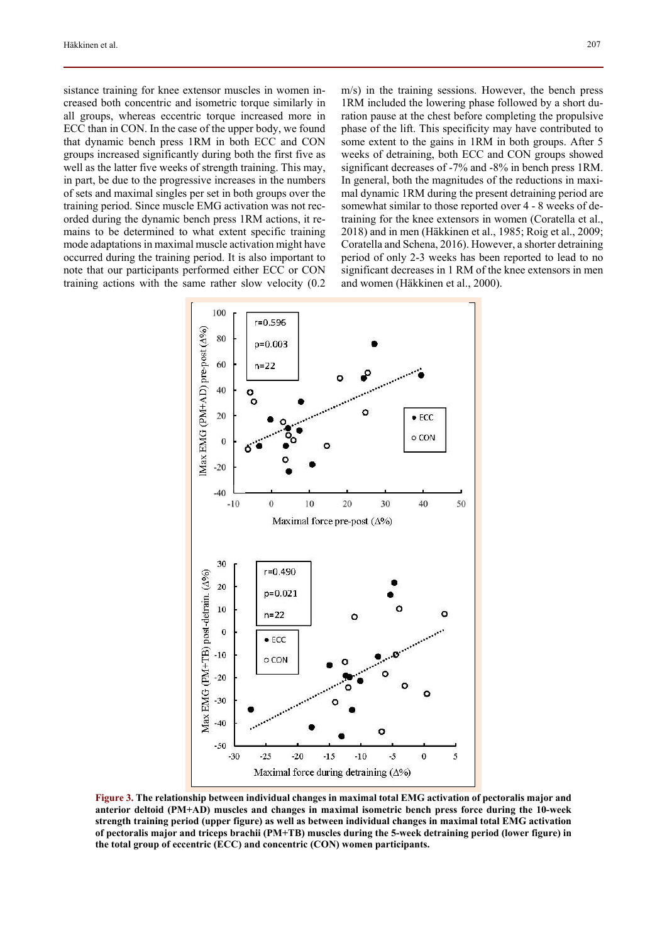sistance training for knee extensor muscles in women increased both concentric and isometric torque similarly in all groups, whereas eccentric torque increased more in ECC than in CON. In the case of the upper body, we found that dynamic bench press 1RM in both ECC and CON groups increased significantly during both the first five as well as the latter five weeks of strength training. This may, in part, be due to the progressive increases in the numbers of sets and maximal singles per set in both groups over the training period. Since muscle EMG activation was not recorded during the dynamic bench press 1RM actions, it remains to be determined to what extent specific training mode adaptations in maximal muscle activation might have occurred during the training period. It is also important to note that our participants performed either ECC or CON training actions with the same rather slow velocity (0.2 m/s) in the training sessions. However, the bench press 1RM included the lowering phase followed by a short duration pause at the chest before completing the propulsive phase of the lift. This specificity may have contributed to some extent to the gains in 1RM in both groups. After 5 weeks of detraining, both ECC and CON groups showed significant decreases of -7% and -8% in bench press 1RM. In general, both the magnitudes of the reductions in maximal dynamic 1RM during the present detraining period are somewhat similar to those reported over 4 - 8 weeks of detraining for the knee extensors in women (Coratella et al., 2018) and in men (Häkkinen et al., 1985; Roig et al., 2009; Coratella and Schena, 2016). However, a shorter detraining period of only 2-3 weeks has been reported to lead to no significant decreases in 1 RM of the knee extensors in men and women (Häkkinen et al., 2000).



**Figure 3. The relationship between individual changes in maximal total EMG activation of pectoralis major and anterior deltoid (PM+AD) muscles and changes in maximal isometric bench press force during the 10-week strength training period (upper figure) as well as between individual changes in maximal total EMG activation of pectoralis major and triceps brachii (PM+TB) muscles during the 5-week detraining period (lower figure) in the total group of eccentric (ECC) and concentric (CON) women participants.**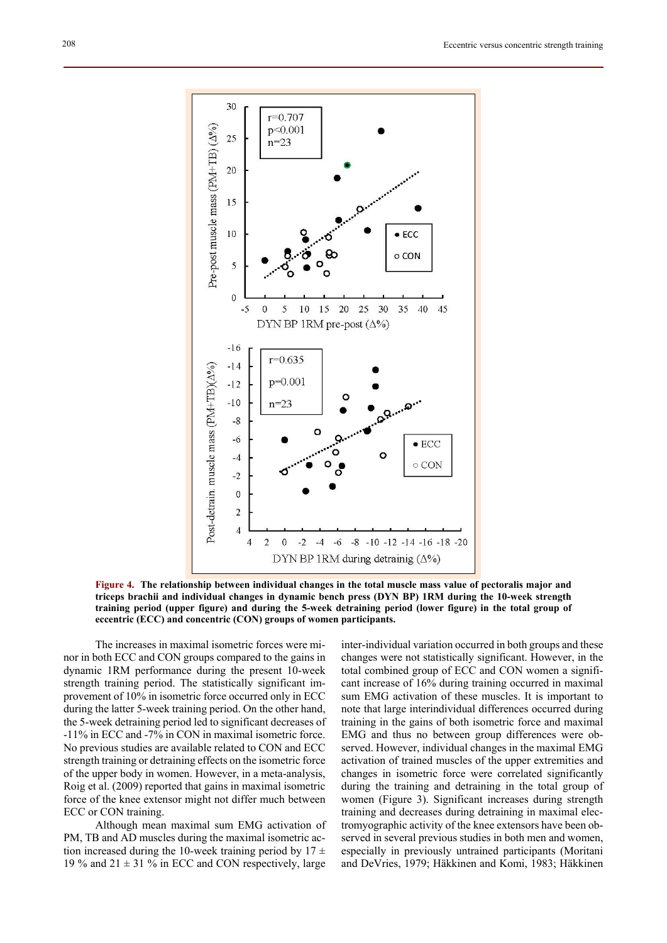

**Figure 4. The relationship between individual changes in the total muscle mass value of pectoralis major and triceps brachii and individual changes in dynamic bench press (DYN BP) 1RM during the 10-week strength training period (upper figure) and during the 5-week detraining period (lower figure) in the total group of eccentric (ECC) and concentric (CON) groups of women participants.**

The increases in maximal isometric forces were minor in both ECC and CON groups compared to the gains in dynamic 1RM performance during the present 10-week strength training period. The statistically significant improvement of 10% in isometric force occurred only in ECC during the latter 5-week training period. On the other hand, the 5-week detraining period led to significant decreases of -11% in ECC and -7% in CON in maximal isometric force. No previous studies are available related to CON and ECC strength training or detraining effects on the isometric force of the upper body in women. However, in a meta-analysis, Roig et al. (2009) reported that gains in maximal isometric force of the knee extensor might not differ much between ECC or CON training.

Although mean maximal sum EMG activation of PM, TB and AD muscles during the maximal isometric action increased during the 10-week training period by  $17 \pm$ 19 % and  $21 \pm 31$  % in ECC and CON respectively, large

inter-individual variation occurred in both groups and these changes were not statistically significant. However, in the total combined group of ECC and CON women a significant increase of 16% during training occurred in maximal sum EMG activation of these muscles. It is important to note that large interindividual differences occurred during training in the gains of both isometric force and maximal EMG and thus no between group differences were observed. However, individual changes in the maximal EMG activation of trained muscles of the upper extremities and changes in isometric force were correlated significantly during the training and detraining in the total group of women (Figure 3). Significant increases during strength training and decreases during detraining in maximal electromyographic activity of the knee extensors have been observed in several previous studies in both men and women, especially in previously untrained participants (Moritani and DeVries, 1979; Häkkinen and Komi, 1983; Häkkinen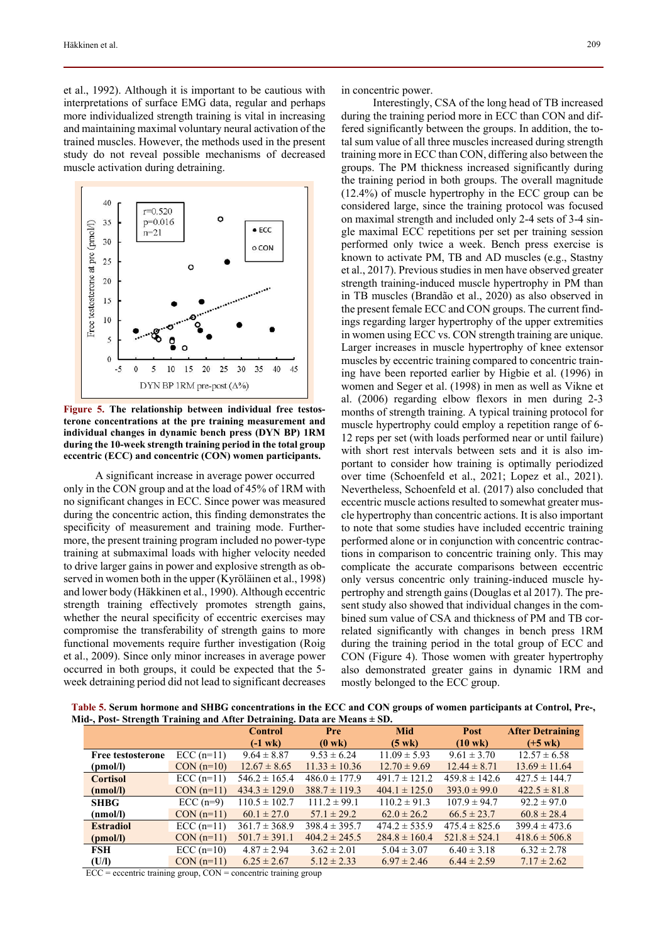et al., 1992). Although it is important to be cautious with interpretations of surface EMG data, regular and perhaps more individualized strength training is vital in increasing and maintaining maximal voluntary neural activation of the trained muscles. However, the methods used in the present study do not reveal possible mechanisms of decreased muscle activation during detraining.



**Figure 5. The relationship between individual free testosterone concentrations at the pre training measurement and individual changes in dynamic bench press (DYN BP) 1RM during the 10-week strength training period in the total group eccentric (ECC) and concentric (CON) women participants.** 

A significant increase in average power occurred only in the CON group and at the load of 45% of 1RM with no significant changes in ECC. Since power was measured during the concentric action, this finding demonstrates the specificity of measurement and training mode. Furthermore, the present training program included no power-type training at submaximal loads with higher velocity needed to drive larger gains in power and explosive strength as observed in women both in the upper (Kyröläinen et al., 1998) and lower body (Häkkinen et al., 1990). Although eccentric strength training effectively promotes strength gains, whether the neural specificity of eccentric exercises may compromise the transferability of strength gains to more functional movements require further investigation (Roig et al., 2009). Since only minor increases in average power occurred in both groups, it could be expected that the 5 week detraining period did not lead to significant decreases in concentric power.

Interestingly, CSA of the long head of TB increased during the training period more in ECC than CON and differed significantly between the groups. In addition, the total sum value of all three muscles increased during strength training more in ECC than CON, differing also between the groups. The PM thickness increased significantly during the training period in both groups. The overall magnitude (12.4%) of muscle hypertrophy in the ECC group can be considered large, since the training protocol was focused on maximal strength and included only 2-4 sets of 3-4 single maximal ECC repetitions per set per training session performed only twice a week. Bench press exercise is known to activate PM, TB and AD muscles (e.g., Stastny et al., 2017). Previous studies in men have observed greater strength training-induced muscle hypertrophy in PM than in TB muscles (Brandão et al., 2020) as also observed in the present female ECC and CON groups. The current findings regarding larger hypertrophy of the upper extremities in women using ECC vs. CON strength training are unique. Larger increases in muscle hypertrophy of knee extensor muscles by eccentric training compared to concentric training have been reported earlier by Higbie et al. (1996) in women and Seger et al. (1998) in men as well as Vikne et al. (2006) regarding elbow flexors in men during 2-3 months of strength training. A typical training protocol for muscle hypertrophy could employ a repetition range of 6- 12 reps per set (with loads performed near or until failure) with short rest intervals between sets and it is also important to consider how training is optimally periodized over time (Schoenfeld et al., 2021; Lopez et al., 2021). Nevertheless, Schoenfeld et al. (2017) also concluded that eccentric muscle actions resulted to somewhat greater muscle hypertrophy than concentric actions. It is also important to note that some studies have included eccentric training performed alone or in conjunction with concentric contractions in comparison to concentric training only. This may complicate the accurate comparisons between eccentric only versus concentric only training-induced muscle hypertrophy and strength gains (Douglas et al 2017). The present study also showed that individual changes in the combined sum value of CSA and thickness of PM and TB correlated significantly with changes in bench press 1RM during the training period in the total group of ECC and CON (Figure 4). Those women with greater hypertrophy also demonstrated greater gains in dynamic 1RM and mostly belonged to the ECC group.

**Table 5. Serum hormone and SHBG concentrations in the ECC and CON groups of women participants at Control, Pre-, Mid-, Post- Strength Training and After Detraining. Data are Means ± SD.** 

| $\mathbf{m}_i$ , i ost strengen Training and Theory Detraining, Data are means $\pm$ SD. |             | <b>Control</b>    | <b>Pre</b>        | Mid               | <b>Post</b>       | <b>After Detraining</b> |
|------------------------------------------------------------------------------------------|-------------|-------------------|-------------------|-------------------|-------------------|-------------------------|
|                                                                                          |             | $(-1$ wk $)$      | $(0 \text{ wk})$  | $(5 \text{ wk})$  | $(10 \text{ wk})$ | $(+5 \text{ wk})$       |
| <b>Free testosterone</b>                                                                 | $ECC(n=11)$ | $9.64 \pm 8.87$   | $9.53 \pm 6.24$   | $11.09 \pm 5.93$  | $9.61 \pm 3.70$   | $12.57 \pm 6.58$        |
| (pmol/l)                                                                                 | $CON(n=10)$ | $12.67 \pm 8.65$  | $11.33 \pm 10.36$ | $12.70 \pm 9.69$  | $12.44 \pm 8.71$  | $13.69 \pm 11.64$       |
| <b>Cortisol</b>                                                                          | $ECC(n=11)$ | $546.2 \pm 165.4$ | $486.0 \pm 177.9$ | $491.7 \pm 121.2$ | $459.8 \pm 142.6$ | $427.5 \pm 144.7$       |
| (nmol/l)                                                                                 | $CON(n=11)$ | $434.3 \pm 129.0$ | $388.7 \pm 119.3$ | $404.1 \pm 125.0$ | $393.0 \pm 99.0$  | $422.5 \pm 81.8$        |
| <b>SHBG</b>                                                                              | $ECC(n=9)$  | $110.5 \pm 102.7$ | $111.2 \pm 99.1$  | $110.2 \pm 91.3$  | $107.9 \pm 94.7$  | $92.2 \pm 97.0$         |
| (nmol/l)                                                                                 | $CON(n=11)$ | $60.1 \pm 27.0$   | $57.1 \pm 29.2$   | $62.0 \pm 26.2$   | $66.5 \pm 23.7$   | $60.8 \pm 28.4$         |
| <b>Estradiol</b>                                                                         | $ECC(n=11)$ | $361.7 \pm 368.9$ | $398.4 \pm 395.7$ | $474.2 \pm 535.9$ | $475.4 \pm 825.6$ | $399.4 \pm 473.6$       |
| (pmol/l)                                                                                 | $CON(n=11)$ | $501.7 \pm 391.1$ | $404.2 \pm 245.5$ | $284.8 \pm 160.4$ | $521.8 \pm 524.1$ | $418.6 \pm 506.8$       |
| FSH                                                                                      | $ECC(n=10)$ | $4.87 \pm 2.94$   | $3.62 \pm 2.01$   | $5.04 \pm 3.07$   | $6.40 \pm 3.18$   | $6.32 \pm 2.78$         |
| (U/I)                                                                                    | $CON(n=11)$ | $6.25 \pm 2.67$   | $5.12 \pm 2.33$   | $6.97 \pm 2.46$   | $6.44 \pm 2.59$   | $7.17 \pm 2.62$         |

 $ECC =$  eccentric training group,  $CON =$  concentric training group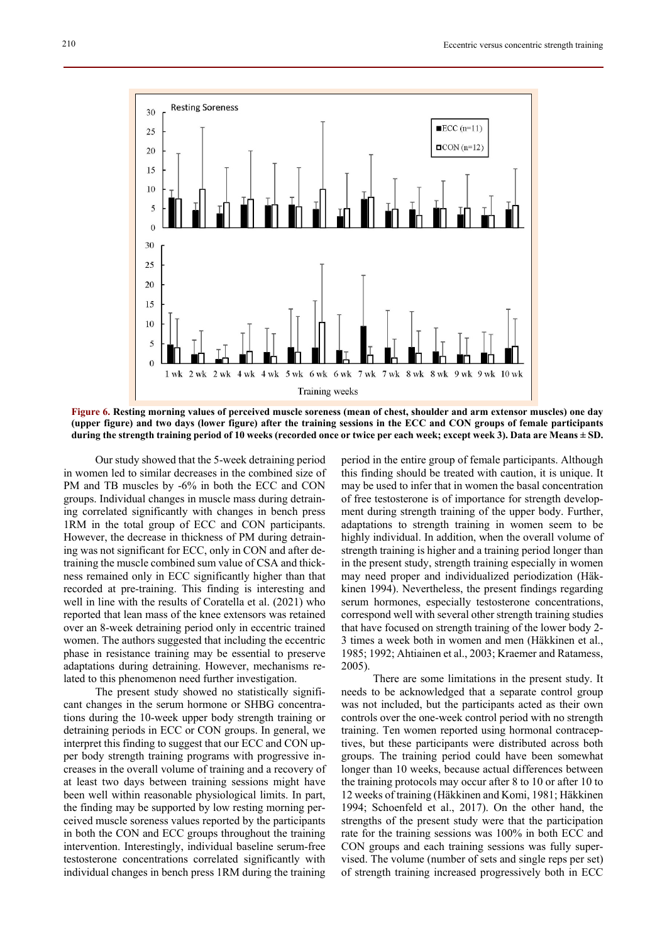

**Figure 6. Resting morning values of perceived muscle soreness (mean of chest, shoulder and arm extensor muscles) one day (upper figure) and two days (lower figure) after the training sessions in the ECC and CON groups of female participants during the strength training period of 10 weeks (recorded once or twice per each week; except week 3). Data are Means ± SD.**

Our study showed that the 5-week detraining period in women led to similar decreases in the combined size of PM and TB muscles by -6% in both the ECC and CON groups. Individual changes in muscle mass during detraining correlated significantly with changes in bench press 1RM in the total group of ECC and CON participants. However, the decrease in thickness of PM during detraining was not significant for ECC, only in CON and after detraining the muscle combined sum value of CSA and thickness remained only in ECC significantly higher than that recorded at pre-training. This finding is interesting and well in line with the results of Coratella et al. (2021) who reported that lean mass of the knee extensors was retained over an 8-week detraining period only in eccentric trained women. The authors suggested that including the eccentric phase in resistance training may be essential to preserve adaptations during detraining. However, mechanisms related to this phenomenon need further investigation.

The present study showed no statistically significant changes in the serum hormone or SHBG concentrations during the 10-week upper body strength training or detraining periods in ECC or CON groups. In general, we interpret this finding to suggest that our ECC and CON upper body strength training programs with progressive increases in the overall volume of training and a recovery of at least two days between training sessions might have been well within reasonable physiological limits. In part, the finding may be supported by low resting morning perceived muscle soreness values reported by the participants in both the CON and ECC groups throughout the training intervention. Interestingly, individual baseline serum-free testosterone concentrations correlated significantly with individual changes in bench press 1RM during the training

period in the entire group of female participants. Although this finding should be treated with caution, it is unique. It may be used to infer that in women the basal concentration of free testosterone is of importance for strength development during strength training of the upper body. Further, adaptations to strength training in women seem to be highly individual. In addition, when the overall volume of strength training is higher and a training period longer than in the present study, strength training especially in women may need proper and individualized periodization (Häkkinen 1994). Nevertheless, the present findings regarding serum hormones, especially testosterone concentrations, correspond well with several other strength training studies that have focused on strength training of the lower body 2- 3 times a week both in women and men (Häkkinen et al., 1985; 1992; Ahtiainen et al., 2003; Kraemer and Ratamess, 2005).

There are some limitations in the present study. It needs to be acknowledged that a separate control group was not included, but the participants acted as their own controls over the one-week control period with no strength training. Ten women reported using hormonal contraceptives, but these participants were distributed across both groups. The training period could have been somewhat longer than 10 weeks, because actual differences between the training protocols may occur after 8 to 10 or after 10 to 12 weeks of training (Häkkinen and Komi, 1981; Häkkinen 1994; Schoenfeld et al., 2017). On the other hand, the strengths of the present study were that the participation rate for the training sessions was 100% in both ECC and CON groups and each training sessions was fully supervised. The volume (number of sets and single reps per set) of strength training increased progressively both in ECC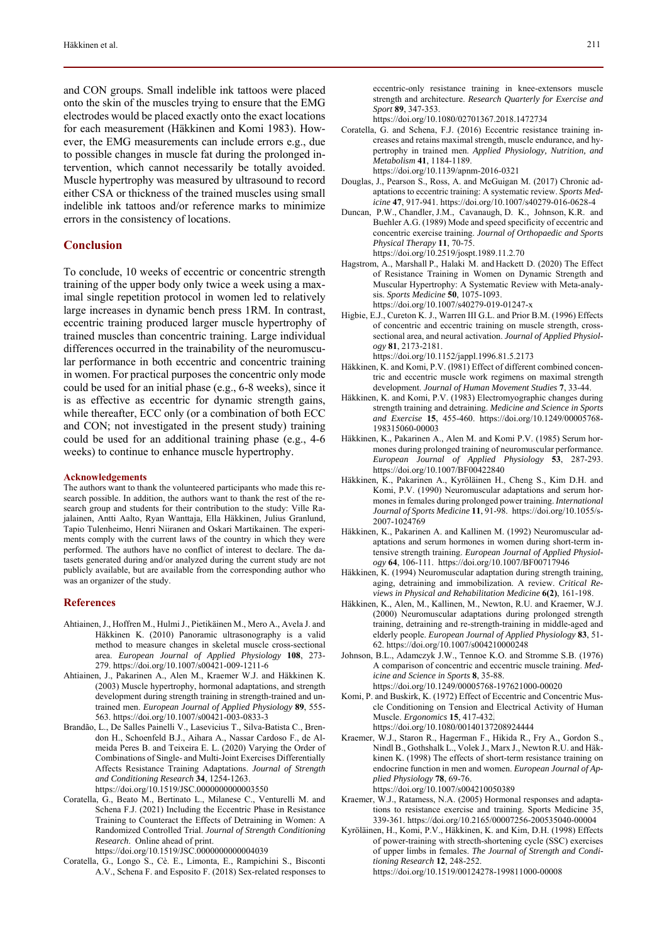and CON groups. Small indelible ink tattoos were placed onto the skin of the muscles trying to ensure that the EMG electrodes would be placed exactly onto the exact locations for each measurement (Häkkinen and Komi 1983). However, the EMG measurements can include errors e.g., due to possible changes in muscle fat during the prolonged intervention, which cannot necessarily be totally avoided. Muscle hypertrophy was measured by ultrasound to record either CSA or thickness of the trained muscles using small indelible ink tattoos and/or reference marks to minimize errors in the consistency of locations.

#### **Conclusion**

To conclude, 10 weeks of eccentric or concentric strength training of the upper body only twice a week using a maximal single repetition protocol in women led to relatively large increases in dynamic bench press 1RM. In contrast, eccentric training produced larger muscle hypertrophy of trained muscles than concentric training. Large individual differences occurred in the trainability of the neuromuscular performance in both eccentric and concentric training in women. For practical purposes the concentric only mode could be used for an initial phase (e.g., 6-8 weeks), since it is as effective as eccentric for dynamic strength gains, while thereafter, ECC only (or a combination of both ECC and CON; not investigated in the present study) training could be used for an additional training phase (e.g., 4-6 weeks) to continue to enhance muscle hypertrophy.

# **Acknowledgements**

The authors want to thank the volunteered participants who made this research possible. In addition, the authors want to thank the rest of the research group and students for their contribution to the study: Ville Rajalainen, Antti Aalto, Ryan Wanttaja, Ella Häkkinen, Julius Granlund, Tapio Tulenheimo, Henri Niiranen and Oskari Martikainen. The experiments comply with the current laws of the country in which they were performed. The authors have no conflict of interest to declare. The datasets generated during and/or analyzed during the current study are not publicly available, but are available from the corresponding author who was an organizer of the study.

#### **References**

- Ahtiainen, J., Hoffren M., Hulmi J., Pietikäinen M., Mero A., Avela J. and Häkkinen K. (2010) Panoramic ultrasonography is a valid method to measure changes in skeletal muscle cross-sectional area. *European Journal of Applied Physiology* **108**, 273- 279. https://doi.org/10.1007/s00421-009-1211-6
- Ahtiainen, J., Pakarinen A., Alen M., Kraemer W.J. and Häkkinen K. (2003) Muscle hypertrophy, hormonal adaptations, and strength development during strength training in strength-trained and untrained men. *European Journal of Applied Physiology* **89**, 555- 563. https://doi.org/10.1007/s00421-003-0833-3
- Brandão, L., De Salles Painelli V., Lasevicius T., Silva-Batista C., Brendon H., Schoenfeld B.J., Aihara A., Nassar Cardoso F., de Almeida Peres B. and Teixeira E. L. (2020) Varying the Order of Combinations of Single- and Multi-Joint Exercises Differentially Affects Resistance Training Adaptations. *Journal of Strength and Conditioning Research* **34**, 1254-1263. https://doi.org/10.1519/JSC.0000000000003550
- Coratella, G., Beato M., Bertinato L., Milanese C., Venturelli M. and Schena F.J. (2021) Including the Eccentric Phase in Resistance Training to Counteract the Effects of Detraining in Women: A Randomized Controlled Trial. *Journal of Strength Conditioning Research*. Online ahead of print. https://doi.org/10.1519/JSC.0000000000004039

Coratella, G., Longo S., Cè. E., Limonta, E., Rampichini S., Bisconti A.V., Schena F. and Esposito F. (2018) Sex-related responses to https://doi.org/10.1080/02701367.2018.1472734

- Coratella, G. and Schena, F.J. (2016) Eccentric resistance training increases and retains maximal strength, muscle endurance, and hypertrophy in trained men. *Applied Physiology, Nutrition, and Metabolism* **41**, 1184-1189. https://doi.org/10.1139/apnm-2016-0321
- Douglas, J., Pearson S., Ross, A. and McGuigan M. (2017) Chronic adaptations to eccentric training: A systematic review. *Sports Medicine* **47**, 917-941. https://doi.org/10.1007/s40279-016-0628-4
- Duncan, P.W., Chandler, J.M., Cavanaugh, D. K., Johnson, K.R. and Buehler A.G. (1989) Mode and speed specificity of eccentric and concentric exercise training. *Journal of Orthopaedic and Sports Physical Therapy* **11**, 70-75.
- https://doi.org/10.2519/jospt.1989.11.2.70 Hagstrom, A., Marshall P., Halaki M. and Hackett D. (2020) The Effect of Resistance Training in Women on Dynamic Strength and Muscular Hypertrophy: A Systematic Review with Meta-analy
	- sis. *Sports Medicine* **50**, 1075-1093. https://doi.org/10.1007/s40279-019-01247-x
- Higbie, E.J., Cureton K. J., Warren III G.L. and Prior B.M. (1996) Effects of concentric and eccentric training on muscle strength, crosssectional area, and neural activation. *Journal of Applied Physiology* **81**, 2173-2181.
	- https://doi.org/10.1152/jappl.1996.81.5.2173
- Häkkinen, K. and Komi, P.V. (l981) Effect of different combined concentric and eccentric muscle work regimens on maximal strength development. *Journal of Human Movement Studies* **7**, 33-44.
- Häkkinen, K. and Komi, P.V. (1983) Electromyographic changes during strength training and detraining. *Medicine and Science in Sports and Exercise* **15**, 455-460. https://doi.org/10.1249/00005768- 198315060-00003
- Häkkinen, K., Pakarinen A., Alen M. and Komi P.V. (1985) Serum hormones during prolonged training of neuromuscular performance. *European Journal of Applied Physiology* **53**, 287-293. https://doi.org/10.1007/BF00422840
- Häkkinen, K., Pakarinen A., Kyröläinen H., Cheng S., Kim D.H. and Komi, P.V. (1990) Neuromuscular adaptations and serum hormones in females during prolonged power training. *International Journal of Sports Medicine* **11**, 91-98. https://doi.org/10.1055/s-2007-1024769
- Häkkinen, K., Pakarinen A. and Kallinen M. (1992) Neuromuscular adaptations and serum hormones in women during short-term intensive strength training. *European Journal of Applied Physiology* **64**, 106-111. https://doi.org/10.1007/BF00717946
- Häkkinen, K. (1994) Neuromuscular adaptation during strength training, aging, detraining and immobilization. A review. *Critical Reviews in Physical and Rehabilitation Medicine* **6(2)**, 161-198.
- Häkkinen, K., Alen, M., Kallinen, M., Newton, R.U. and Kraemer, W.J. (2000) Neuromuscular adaptations during prolonged strength training, detraining and re-strength-training in middle-aged and elderly people. *European Journal of Applied Physiology* **83**, 51- 62. https://doi.org/10.1007/s004210000248
- Johnson, B.L., Adamczyk J.W., Tennoe K.O. and Stromme S.B. (1976) A comparison of concentric and eccentric muscle training. *Medicine and Science in Sports* **8**, 35-88. https://doi.org/10.1249/00005768-197621000-00020
- Komi, P. and Buskirk, K. (1972) Effect of Eccentric and Concentric Muscle Conditioning on Tension and Electrical Activity of Human Muscle. *Ergonomics* **15**, 417-432. https://doi.org/10.1080/00140137208924444
- Kraemer, W.J., Staron R., Hagerman F., Hikida R., Fry A., Gordon S., Nindl B., Gothshalk L., Volek J., Marx J., Newton R.U. and Häkkinen K. (1998) The effects of short-term resistance training on endocrine function in men and women. *European Journal of Applied Physiology* **78**, 69-76. https://doi.org/10.1007/s004210050389
- Kraemer, W.J., Ratamess, N.A. (2005) Hormonal responses and adaptations to resistance exercise and training. Sports Medicine 35, 339-361. https://doi.org/10.2165/00007256-200535040-00004
- Kyröläinen, H., Komi, P.V., Häkkinen, K. and Kim, D.H. (1998) Effects of power-training with strecth-shortening cycle (SSC) exercises of upper limbs in females. *The Journal of Strength and Conditioning Research* **12**, 248-252. https://doi.org/10.1519/00124278-199811000-00008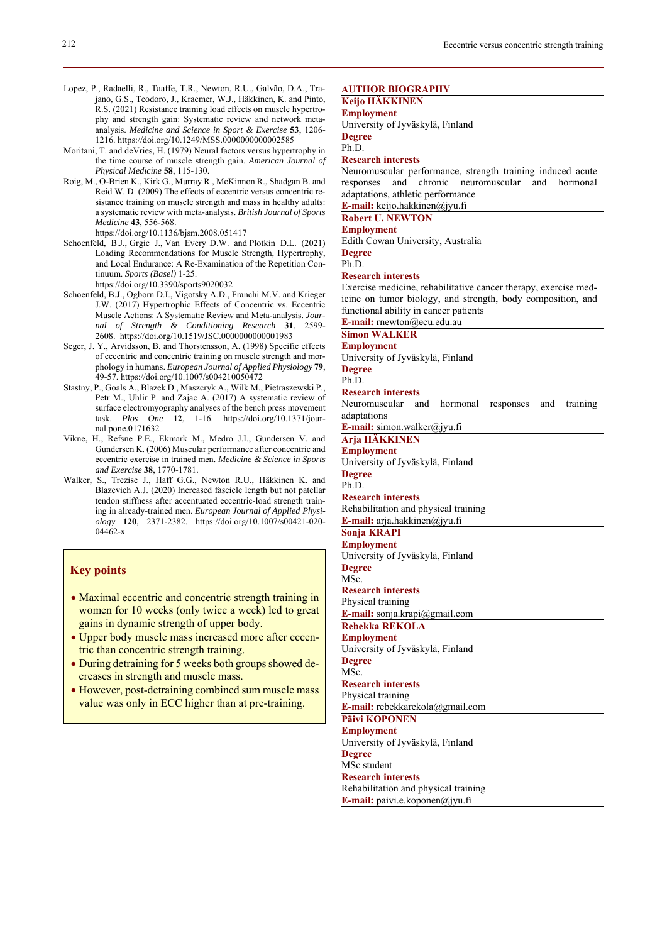- Lopez, P., Radaelli, R., Taaffe, T.R., Newton, R.U., Galvão, D.A., Trajano, G.S., Teodoro, J., Kraemer, W.J., Häkkinen, K. and Pinto, R.S. (2021) Resistance training load effects on muscle hypertrophy and strength gain: Systematic review and network metaanalysis. *Medicine and Science in Sport & Exercise* **53**, 1206- 1216. https://doi.org/10.1249/MSS.0000000000002585
- Moritani, T. and deVries, H. (1979) Neural factors versus hypertrophy in the time course of muscle strength gain. *American Journal of Physical Medicine* **58**, 115-130.
- Roig, M., O-Brien K., Kirk G., Murray R., McKinnon R., Shadgan B. and Reid W. D. (2009) The effects of eccentric versus concentric resistance training on muscle strength and mass in healthy adults: a systematic review with meta-analysis. *British Journal of Sports Medicine* **43**, 556-568. https://doi.org/10.1136/bjsm.2008.051417
- Schoenfeld, B.J., Grgic J., Van Every D.W. and Plotkin D.L. (2021) Loading Recommendations for Muscle Strength, Hypertrophy, and Local Endurance: A Re-Examination of the Repetition Continuum. *Sports (Basel)* 1-25.
	- https://doi.org/10.3390/sports9020032
- Schoenfeld, B.J., Ogborn D.I., Vigotsky A.D., Franchi M.V. and Krieger J.W. (2017) Hypertrophic Effects of Concentric vs. Eccentric Muscle Actions: A Systematic Review and Meta-analysis. *Journal of Strength & Conditioning Research* **31**, 2599- 2608. https://doi.org/10.1519/JSC.0000000000001983
- Seger, J. Y., Arvidsson, B. and Thorstensson, A. (1998) Specific effects of eccentric and concentric training on muscle strength and morphology in humans. *European Journal of Applied Physiology* **79**, 49-57. https://doi.org/10.1007/s004210050472
- Stastny, P., Goals A., Blazek D., Maszcryk A., Wilk M., Pietraszewski P., Petr M., Uhlir P. and Zajac A. (2017) A systematic review of surface electromyography analyses of the bench press movement task. *Plos One* **12**, 1-16. https://doi.org/10.1371/journal.pone.0171632
- Vikne, H., Refsne P.E., Ekmark M., Medro J.I., Gundersen V. and Gundersen K. (2006) Muscular performance after concentric and eccentric exercise in trained men. *Medicine & Science in Sports and Exercise* **38**, 1770-1781.
- Walker, S., Trezise J., Haff G.G., Newton R.U., Häkkinen K. and Blazevich A.J. (2020) Increased fascicle length but not patellar tendon stiffness after accentuated eccentric-load strength training in already-trained men. *European Journal of Applied Physiology* **120**, 2371-2382. https://doi.org/10.1007/s00421-020- 04462-x

# **Key points**

- Maximal eccentric and concentric strength training in women for 10 weeks (only twice a week) led to great gains in dynamic strength of upper body.
- Upper body muscle mass increased more after eccentric than concentric strength training.
- During detraining for 5 weeks both groups showed decreases in strength and muscle mass.
- However, post-detraining combined sum muscle mass value was only in ECC higher than at pre-training.

#### **AUTHOR BIOGRAPHY**

# **Keijo HÄKKINEN**

**Employment**  University of Jyväskylä, Finland **Degree** 

Ph.D.

#### **Research interests**

Neuromuscular performance, strength training induced acute responses and chronic neuromuscular and hormonal adaptations, athletic performance

**E-mail:** keijo.hakkinen@jyu.fi

# **Robert U. NEWTON**

**Employment**  Edith Cowan University, Australia **Degree** 

Ph.D.

#### **Research interests**

Exercise medicine, rehabilitative cancer therapy, exercise medicine on tumor biology, and strength, body composition, and functional ability in cancer patients

**E-mail:** rnewton@ecu.edu.au

# **Simon WALKER**

**Employment**  University of Jyväskylä, Finland **Degree** 

Ph.D.

**Research interests** 

Neuromuscular and hormonal responses and training adaptations

**E-mail:** simon.walker@jyu.fi

**Arja HÄKKINEN** 

**Employment**  University of Jyväskylä, Finland **Degree** 

Ph.D.

# **Research interests**  Rehabilitation and physical training

**E-mail:** arja.hakkinen@jyu.fi **Sonja KRAPI** 

# **Employment**

University of Jyväskylä, Finland **Degree** 

MSc. **Research interests** 

Physical training

**E-mail:** sonja.krapi@gmail.com

**Rebekka REKOLA** 

**Employment**  University of Jyväskylä, Finland **Degree**  MSc.

**Research interests**  Physical training

**E-mail:** rebekkarekola@gmail.com

**Päivi KOPONEN** 

**Employment** 

University of Jyväskylä, Finland

**Degree**  MSc student

**Research interests** 

Rehabilitation and physical training **E-mail:** paivi.e.koponen@jyu.fi